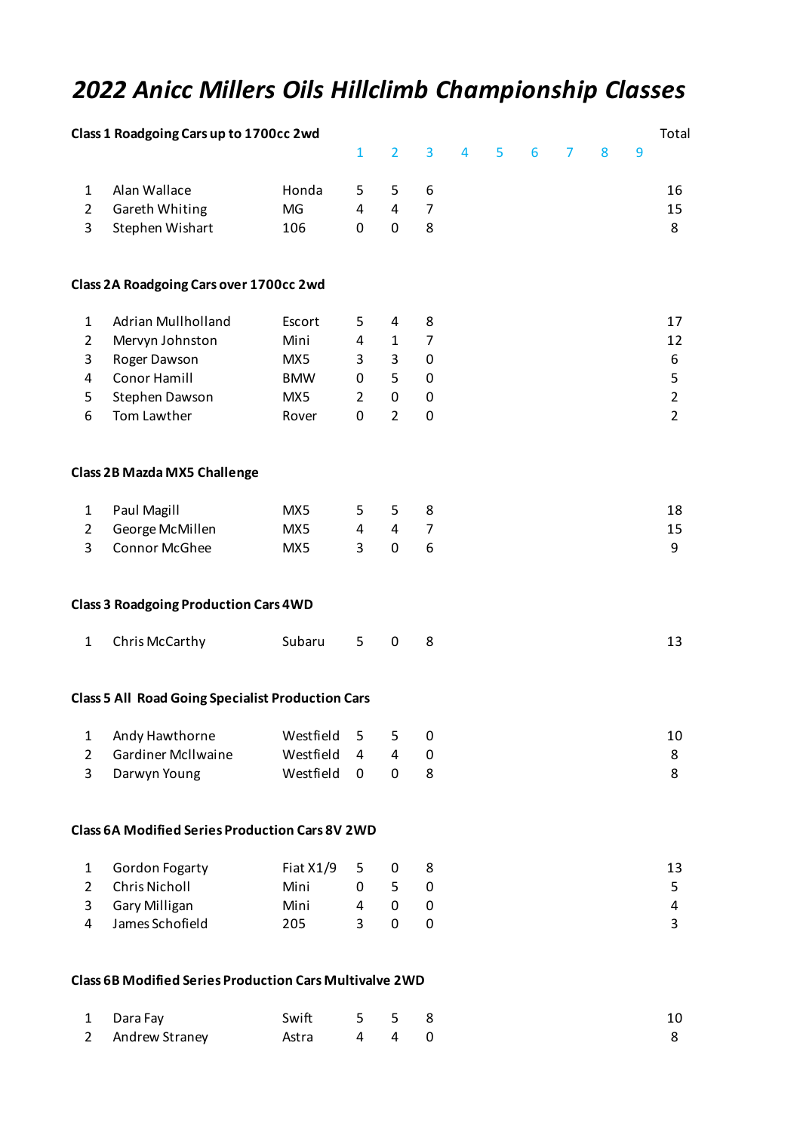# *2022 Anicc Millers Oils Hillclimb Championship Classes*

|                | Class 1 Roadgoing Cars up to 1700cc 2wd                  |            |                |                |                |                |   |   |                |   |   | Total          |
|----------------|----------------------------------------------------------|------------|----------------|----------------|----------------|----------------|---|---|----------------|---|---|----------------|
|                |                                                          |            | $\mathbf{1}$   | $\overline{2}$ | 3              | $\overline{4}$ | 5 | 6 | $\overline{7}$ | 8 | 9 |                |
| $\mathbf{1}$   | Alan Wallace                                             | Honda      | 5              | 5              | 6              |                |   |   |                |   |   | 16             |
| $\overline{2}$ | Gareth Whiting                                           | MG         | $\overline{4}$ | $\overline{4}$ | $\overline{7}$ |                |   |   |                |   |   | 15             |
| 3              | Stephen Wishart                                          | 106        | 0              | $\mathbf 0$    | 8              |                |   |   |                |   |   | 8              |
|                | Class 2A Roadgoing Cars over 1700cc 2wd                  |            |                |                |                |                |   |   |                |   |   |                |
| $\mathbf{1}$   | Adrian Mullholland                                       | Escort     | 5              | 4              | 8              |                |   |   |                |   |   | 17             |
| $\overline{2}$ | Mervyn Johnston                                          | Mini       | 4              | $\mathbf{1}$   | $\overline{7}$ |                |   |   |                |   |   | 12             |
| 3              | Roger Dawson                                             | MX5        | 3              | 3              | $\mathbf 0$    |                |   |   |                |   |   | 6              |
| 4              | Conor Hamill                                             | <b>BMW</b> | 0              | 5              | $\mathbf 0$    |                |   |   |                |   |   | 5              |
| 5              | Stephen Dawson                                           | MX5        | $\overline{2}$ | 0              | 0              |                |   |   |                |   |   | $\overline{2}$ |
| 6              | Tom Lawther                                              | Rover      | $\mathbf 0$    | $\overline{2}$ | 0              |                |   |   |                |   |   | $\overline{2}$ |
|                | <b>Class 2B Mazda MX5 Challenge</b>                      |            |                |                |                |                |   |   |                |   |   |                |
| 1              | Paul Magill                                              | MX5        | 5              | 5              | 8              |                |   |   |                |   |   | 18             |
| $\overline{2}$ | George McMillen                                          | MX5        | 4              | $\overline{4}$ | $\overline{7}$ |                |   |   |                |   |   | 15             |
| 3              | Connor McGhee                                            | MX5        | 3              | 0              | 6              |                |   |   |                |   |   | 9              |
|                | <b>Class 3 Roadgoing Production Cars 4WD</b>             |            |                |                |                |                |   |   |                |   |   |                |
| $\mathbf{1}$   | Chris McCarthy                                           | Subaru     | 5              | $\pmb{0}$      | 8              |                |   |   |                |   |   | 13             |
|                | <b>Class 5 All Road Going Specialist Production Cars</b> |            |                |                |                |                |   |   |                |   |   |                |
| $\mathbf{1}$   | Andy Hawthorne                                           | Westfield  | 5              | 5              | 0              |                |   |   |                |   |   | 10             |
| $\overline{2}$ | <b>Gardiner McIlwaine</b>                                | Westfield  | 4              | 4              | $\pmb{0}$      |                |   |   |                |   |   | 8              |
| 3              | Darwyn Young                                             | Westfield  | 0              | $\pmb{0}$      | 8              |                |   |   |                |   |   | 8              |
|                | <b>Class 6A Modified Series Production Cars 8V 2WD</b>   |            |                |                |                |                |   |   |                |   |   |                |
| 1              | Gordon Fogarty                                           | Fiat X1/9  | 5              | 0              | 8              |                |   |   |                |   |   | 13             |
| $\overline{2}$ | Chris Nicholl                                            | Mini       | 0              | 5              | $\pmb{0}$      |                |   |   |                |   |   | 5              |
| 3              | <b>Gary Milligan</b>                                     | Mini       | 4              | 0              | 0              |                |   |   |                |   |   | 4              |
| 4              | James Schofield                                          | 205        | 3              | $\mathbf 0$    | 0              |                |   |   |                |   |   | 3              |
|                |                                                          |            |                |                |                |                |   |   |                |   |   |                |

# **Class 6B Modified Series Production Cars Multivalve 2WD**

| 1 Dara Fay       | Swift 5 5 8 |  | 10 |
|------------------|-------------|--|----|
| 2 Andrew Straney | Astra 4 4 0 |  | 8  |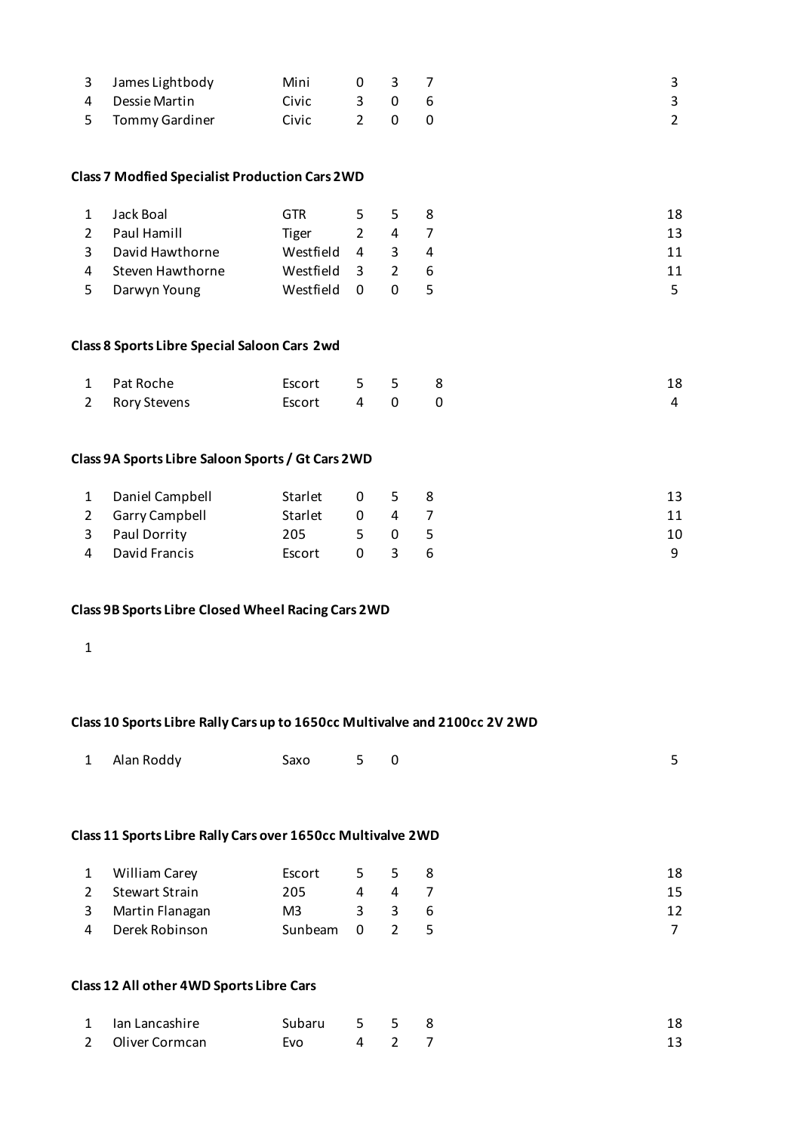| 3 James Lightbody | Mini  | $0 \quad 3$ |       |  |
|-------------------|-------|-------------|-------|--|
| 4 Dessie Martin   | Civic |             | 3 0 6 |  |
| 5 Tommy Gardiner  | Civic |             |       |  |

#### **Class 7 Modfied Specialist Production Cars 2WD**

| Jack Boal       | GTR.             |                                  |             | 18                                 |
|-----------------|------------------|----------------------------------|-------------|------------------------------------|
| Paul Hamill     | Tiger            |                                  |             | 13                                 |
| David Hawthorne | Westfield        | २                                |             | 11                                 |
|                 |                  |                                  |             | 11                                 |
| Darwyn Young    | Westfield        |                                  | 5           | 5.                                 |
|                 | Steven Hawthorne | $\overline{4}$<br>$\overline{0}$ | Westfield 3 | 5 5 8<br>$\overline{4}$<br>4<br>26 |

#### **Class 8 Sports Libre Special Saloon Cars 2wd**

| 1 Pat Roche    | Escort 5 5 8 |  | 18             |
|----------------|--------------|--|----------------|
| 2 Rory Stevens | Escort 4 0 0 |  | $\overline{4}$ |

#### **Class 9A Sports Libre Saloon Sports / Gt Cars 2WD**

| 1 Daniel Campbell | Starlet | 0     | 58          | 13 |
|-------------------|---------|-------|-------------|----|
| 2 Garry Campbell  | Starlet | 0     | $\sim$ 4 /  | 11 |
| 3 Paul Dorrity    | 205     | 5 0 5 |             | 10 |
| 4 David Francis   | Escort  |       | $0 \t3 \t6$ | Q. |

#### **Class 9B Sports Libre Closed Wheel Racing Cars 2WD**

#### **Class 10 Sports Libre Rally Cars up to 1650cc Multivalve and 2100cc 2V 2WD**

| 1 Alan Roddy<br>Saxo 5 0 | 5 |
|--------------------------|---|
|--------------------------|---|

#### **Class 11 Sports Libre Rally Cars over 1650cc Multivalve 2WD**

| William Carey     | Escort        |   | 5 5 8 | 18 |
|-------------------|---------------|---|-------|----|
| 2 Stewart Strain  | 205           | 4 | -4    | 15 |
| 3 Martin Flanagan | M3.           |   | 3 3 6 | 12 |
| 4 Derek Robinson  | Sunbeam 0 2 5 |   |       |    |

#### **Class 12 All other 4WD Sports Libre Cars**

| 1 Ian Lancashire | Subaru 5 5 8 |       |  | 18 |
|------------------|--------------|-------|--|----|
| 2 Oliver Cormcan | Evo          | 4 2 7 |  | 13 |